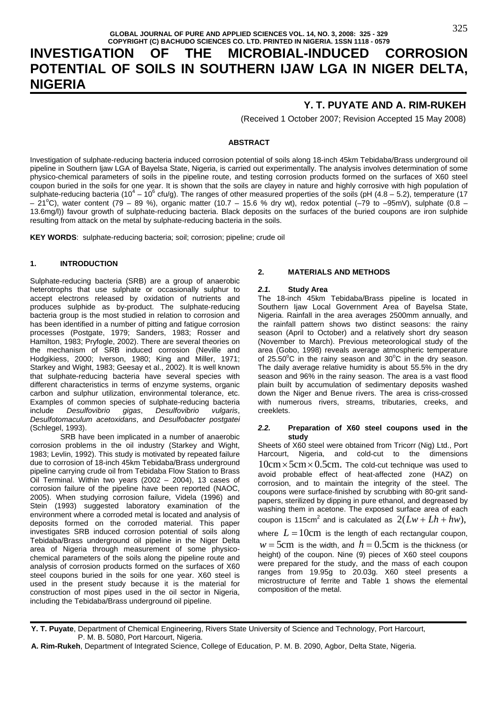# **INVESTIGATION OF THE MICROBIAL-INDUCED CORROSION POTENTIAL OF SOILS IN SOUTHERN IJAW LGA IN NIGER DELTA, NIGERIA**

## **Y. T. PUYATE AND A. RIM-RUKEH**

(Received 1 October 2007; Revision Accepted 15 May 2008)

#### **ABSTRACT**

Investigation of sulphate-reducing bacteria induced corrosion potential of soils along 18-inch 45km Tebidaba/Brass underground oil pipeline in Southern Ijaw LGA of Bayelsa State, Nigeria, is carried out experimentally. The analysis involves determination of some physico-chemical parameters of soils in the pipeline route, and testing corrosion products formed on the surfaces of X60 steel coupon buried in the soils for one year. It is shown that the soils are clayey in nature and highly corrosive with high population of sulphate-reducing bacteria (10<sup>4</sup> – 10<sup>6</sup> cfu/g). The ranges of other measured properties of the soils (pH (4.8 – 5.2), temperature (17  $-$  21<sup>o</sup>C), water content (79 – 89 %), organic matter (10.7 – 15.6 % dry wt), redox potential (-79 to -95mV), sulphate (0.8 – 13.6mg/l)) favour growth of sulphate-reducing bacteria. Black deposits on the surfaces of the buried coupons are iron sulphide resulting from attack on the metal by sulphate-reducing bacteria in the soils.

**KEY WORDS**: sulphate-reducing bacteria; soil; corrosion; pipeline; crude oil

#### **1. INTRODUCTION**

Sulphate-reducing bacteria (SRB) are a group of anaerobic heterotrophs that use sulphate or occasionally sulphur to accept electrons released by oxidation of nutrients and produces sulphide as by-product. The sulphate-reducing bacteria group is the most studied in relation to corrosion and has been identified in a number of pitting and fatigue corrosion processes (Postgate, 1979; Sanders, 1983; Rosser and Hamilton, 1983; Pryfogle, 2002). There are several theories on the mechanism of SRB induced corrosion (Neville and Hodgikiess, 2000; Iverson, 1980; King and Miller, 1971; Starkey and Wight, 1983; Geesay et al., 2002). It is well known that sulphate-reducing bacteria have several species with different characteristics in terms of enzyme systems, organic carbon and sulphur utilization, environmental tolerance, etc. Examples of common species of sulphate-reducing bacteria include *Desulfovibrio gigas*, *Desulfovibrio vulgaris*, *Desulfotomaculum acetoxidans*, and *Desulfobacter postgatei* (Schlegel, 1993).

SRB have been implicated in a number of anaerobic corrosion problems in the oil industry (Starkey and Wight, 1983; Levlin, 1992). This study is motivated by repeated failure due to corrosion of 18-inch 45km Tebidaba/Brass underground pipeline carrying crude oil from Tebidaba Flow Station to Brass Oil Terminal. Within two years (2002 – 2004), 13 cases of corrosion failure of the pipeline have been reported (NAOC, 2005). When studying corrosion failure, Videla (1996) and Stein (1993) suggested laboratory examination of the environment where a corroded metal is located and analysis of deposits formed on the corroded material. This paper investigates SRB induced corrosion potential of soils along Tebidaba/Brass underground oil pipeline in the Niger Delta area of Nigeria through measurement of some physicochemical parameters of the soils along the pipeline route and analysis of corrosion products formed on the surfaces of X60 steel coupons buried in the soils for one year. X60 steel is used in the present study because it is the material for construction of most pipes used in the oil sector in Nigeria, including the Tebidaba/Brass underground oil pipeline.

#### **2. MATERIALS AND METHODS**

#### *2.1.* **Study Area**

The 18-inch 45km Tebidaba/Brass pipeline is located in Southern Ijaw Local Government Area of Bayelsa State, Nigeria. Rainfall in the area averages 2500mm annually, and the rainfall pattern shows two distinct seasons: the rainy season (April to October) and a relatively short dry season (November to March). Previous meteorological study of the area (Gobo, 1998) reveals average atmospheric temperature of  $25.50^{\circ}$ C in the rainy season and  $30^{\circ}$ C in the dry season. The daily average relative humidity is about 55.5% in the dry season and 96% in the rainy season. The area is a vast flood plain built by accumulation of sedimentary deposits washed down the Niger and Benue rivers. The area is criss-crossed with numerous rivers, streams, tributaries, creeks, and creeklets.

#### *2.2.* **Preparation of X60 steel coupons used in the study**

Sheets of X60 steel were obtained from Tricorr (Nig) Ltd., Port Harcourt, Nigeria, and cold-cut to the dimensions  $10 \text{cm} \times 5 \text{cm} \times 0.5 \text{cm}$ . The cold-cut technique was used to avoid probable effect of heat-affected zone (HAZ) on corrosion, and to maintain the integrity of the steel. The coupons were surface-finished by scrubbing with 80-grit sandpapers, sterilized by dipping in pure ethanol, and degreased by washing them in acetone. The exposed surface area of each coupon is 115cm<sup>2</sup> and is calculated as  $2(Lw + Lh + hw)$ ,

where  $L = 10$ cm is the length of each rectangular coupon,

 $w = 5$ cm is the width, and  $h = 0.5$ cm is the thickness (or height) of the coupon. Nine (9) pieces of X60 steel coupons were prepared for the study, and the mass of each coupon ranges from 19.95g to 20.03g. X60 steel presents a microstructure of ferrite and Table 1 shows the elemental composition of the metal.

**Y. T. Puyate**, Department of Chemical Engineering, Rivers State University of Science and Technology, Port Harcourt, P. M. B. 5080, Port Harcourt, Nigeria.

**A. Rim-Rukeh**, Department of Integrated Science, College of Education, P. M. B. 2090, Agbor, Delta State, Nigeria.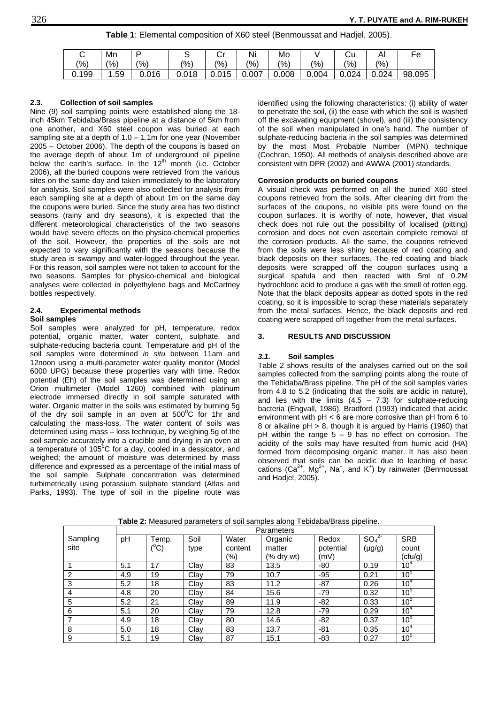**Table 1**: Elemental composition of X60 steel (Benmoussat and Hadjel, 2005).

|       | Mn    |       |       | ◡             | Ni      | Mo             |               | Cu            | Al    | Fe     |
|-------|-------|-------|-------|---------------|---------|----------------|---------------|---------------|-------|--------|
| (%)   | (% )  | (%)   | (%)   | $\frac{1}{2}$ | $(\% )$ | $\frac{10}{6}$ | $\frac{1}{2}$ | $\frac{1}{6}$ | (%)   |        |
| 0.199 | . .59 | 0.016 | 0.018 | 0.015         | 0.007   | 0.008          | 0.004         | 0.024         | 0.024 | 98.095 |

## **2.3. Collection of soil samples**

Nine (9) soil sampling points were established along the 18 inch 45km Tebidaba/Brass pipeline at a distance of 5km from one another, and X60 steel coupon was buried at each sampling site at a depth of  $1.0 - 1.1$ m for one year (November 2005 – October 2006). The depth of the coupons is based on the average depth of about 1m of underground oil pipeline below the earth's surface. In the 12<sup>th</sup> month (i.e. October 2006), all the buried coupons were retrieved from the various sites on the same day and taken immediately to the laboratory for analysis. Soil samples were also collected for analysis from each sampling site at a depth of about 1m on the same day the coupons were buried. Since the study area has two distinct seasons (rainy and dry seasons), it is expected that the different meteorological characteristics of the two seasons would have severe effects on the physico-chemical properties of the soil. However, the properties of the soils are not expected to vary significantly with the seasons because the study area is swampy and water-logged throughout the year. For this reason, soil samples were not taken to account for the two seasons. Samples for physico-chemical and biological analyses were collected in polyethylene bags and McCartney bottles respectively.

## **2.4. Experimental methods**

## **Soil samples**

Soil samples were analyzed for pH, temperature, redox potential, organic matter, water content, sulphate, and sulphate-reducing bacteria count. Temperature and pH of the soil samples were determined *in situ* between 11am and 12noon using a multi-parameter water quality monitor (Model 6000 UPG) because these properties vary with time. Redox potential (Eh) of the soil samples was determined using an Orion multimeter (Model 1260) combined with platinum electrode immersed directly in soil sample saturated with water. Organic matter in the soils was estimated by burning 5g of the dry soil sample in an oven at  $500^{\circ}$ C for 1hr and calculating the mass-loss. The water content of soils was determined using mass – loss technique, by weighing 5g of the soil sample accurately into a crucible and drying in an oven at a temperature of  $105^{\circ}$ C for a day, cooled in a dessicator, and weighed; the amount of moisture was determined by mass difference and expressed as a percentage of the initial mass of the soil sample. Sulphate concentration was determined turbimetrically using potassium sulphate standard (Atlas and Parks, 1993). The type of soil in the pipeline route was

identified using the following characteristics: (i) ability of water to penetrate the soil, (ii) the ease with which the soil is washed off the excavating equipment (shovel), and (iii) the consistency of the soil when manipulated in one's hand. The number of sulphate-reducing bacteria in the soil samples was determined by the most Most Probable Number (MPN) technique (Cochran, 1950). All methods of analysis described above are consistent with DPR (2002) and AWWA (2001) standards.

### **Corrosion products on buried coupons**

A visual check was performed on all the buried X60 steel coupons retrieved from the soils. After cleaning dirt from the surfaces of the coupons, no visible pits were found on the coupon surfaces. It is worthy of note, however, that visual check does not rule out the possibility of localised (pitting) corrosion and does not even ascertain complete removal of the corrosion products. All the same, the coupons retrieved from the soils were less shiny because of red coating and black deposits on their surfaces. The red coating and black deposits were scrapped off the coupon surfaces using a surgical spatula and then reacted with 5ml of 0.2M hydrochloric acid to produce a gas with the smell of rotten egg. Note that the black deposits appear as dotted spots in the red coating, so it is impossible to scrap these materials separately from the metal surfaces. Hence, the black deposits and red coating were scrapped off together from the metal surfaces.

## **3. RESULTS AND DISCUSSION**

## *3.1.* **Soil samples**

Table 2 shows results of the analyses carried out on the soil samples collected from the sampling points along the route of the Tebidaba/Brass pipeline. The pH of the soil samples varies from 4.8 to 5.2 (indicating that the soils are acidic in nature), and lies with the limits  $(4.5 - 7.3)$  for sulphate-reducing bacteria (Engvall, 1986). Bradford (1993) indicated that acidic environment with pH < 6 are more corrosive than pH from 6 to 8 or alkaline pH > 8, though it is argued by Harris (1960) that pH within the range  $5 - 9$  has no effect on corrosion. The acidity of the soils may have resulted from humic acid (HA) formed from decomposing organic matter. It has also been observed that soils can be acidic due to leaching of basic cations (Ca<sup>2+</sup>, Mg<sup>2+</sup>, Na<sup>+</sup>, and K<sup>+</sup>) by rainwater (Benmoussat and Hadjel, 2005).

|                | Parameters |               |      |         |             |           |                              |                 |
|----------------|------------|---------------|------|---------|-------------|-----------|------------------------------|-----------------|
| Sampling       | pH         | Temp.         | Soil | Water   | Organic     | Redox     | SO <sub>4</sub> <sup>2</sup> | <b>SRB</b>      |
| site           |            | $(^{\circ}C)$ | type | content | matter      | potential | $(\mu g/g)$                  | count           |
|                |            |               |      | (%)     | $%$ dry wt) | (mV)      |                              | (ctu/g)         |
|                | 5.1        | 17            | Clay | 83      | 13.5        | $-80$     | 0.19                         | 10 <sup>4</sup> |
| $\overline{2}$ | 4.9        | 19            | Clay | 79      | 10.7        | $-95$     | 0.21                         | 10 <sup>5</sup> |
| 3              | 5.2        | 18            | Clay | 83      | 11.2        | $-87$     | 0.26                         | 10 <sup>4</sup> |
| $\overline{4}$ | 4.8        | 20            | Clay | 84      | 15.6        | $-79$     | 0.32                         | 10 <sup>5</sup> |
| 5              | 5.2        | 21            | Clay | 89      | 11.9        | $-82$     | 0.33                         | 10 <sup>5</sup> |
| 6              | 5.1        | 20            | Clay | 79      | 12.8        | $-79$     | 0.29                         | 10 <sup>4</sup> |
|                | 4.9        | 18            | Clay | 80      | 14.6        | $-82$     | 0.37                         | 10 <sup>6</sup> |
| 8              | 5.0        | 18            | Clay | 83      | 13.7        | -81       | 0.35                         | 10 <sup>4</sup> |
| 9              | 5.1        | 19            | Clay | 87      | 15.1        | -83       | 0.27                         | 10 <sup>5</sup> |

**Table 2:** Measured parameters of soil samples along Tebidaba/Brass pipeline.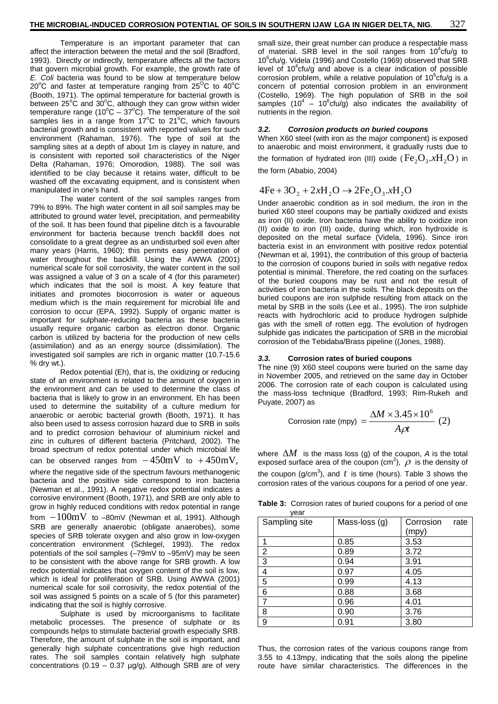Temperature is an important parameter that can affect the interaction between the metal and the soil (Bradford, 1993). Directly or indirectly, temperature affects all the factors that govern microbial growth. For example, the growth rate of *E. Coli* bacteria was found to be slow at temperature below 20 $^{\circ}$ C and faster at temperature ranging from 25 $^{\circ}$ C to 40 $^{\circ}$ C (Booth, 1971). The optimal temperature for bacterial growth is between  $25^{\circ}$ C and  $30^{\circ}$ C, although they can grow within wider temperature range (10 $\degree$ C – 37 $\degree$ C). The temperature of the soil samples lies in a range from  $17^{\circ}$ C to 21 $^{\circ}$ C, which favours bacterial growth and is consistent with reported values for such environment (Rahaman, 1976). The type of soil at the sampling sites at a depth of about 1m is clayey in nature, and is consistent with reported soil characteristics of the Niger Delta (Rahaman, 1976; Omorodion, 1988). The soil was identified to be clay because it retains water, difficult to be washed off the excavating equipment, and is consistent when manipulated in one's hand.

The water content of the soil samples ranges from 79% to 89%. The high water content in all soil samples may be attributed to ground water level, precipitation, and permeability of the soil. It has been found that pipeline ditch is a favourable environment for bacteria because trench backfill does not consolidate to a great degree as an undisturbed soil even after many years (Harris, 1960); this permits easy penetration of water throughout the backfill. Using the AWWA (2001) numerical scale for soil corrosivity, the water content in the soil was assigned a value of 3 on a scale of 4 (for this parameter) which indicates that the soil is moist. A key feature that initiates and promotes biocorrosion is water or aqueous medium which is the main requirement for microbial life and corrosion to occur (EPA, 1992). Supply of organic matter is important for sulphate-reducing bacteria as these bacteria usually require organic carbon as electron donor. Organic carbon is utilized by bacteria for the production of new cells (assimilation) and as an energy source (dissimilation). The investigated soil samples are rich in organic matter (10.7-15.6 % dry wt.).

Redox potential (Eh), that is, the oxidizing or reducing state of an environment is related to the amount of oxygen in the environment and can be used to determine the class of bacteria that is likely to grow in an environment. Eh has been used to determine the suitability of a culture medium for anaerobic or aerobic bacterial growth (Booth, 1971). It has also been used to assess corrosion hazard due to SRB in soils and to predict corrosion behaviour of aluminium nickel and zinc in cultures of different bacteria (Pritchard, 2002). The broad spectrum of redox potential under which microbial life can be observed ranges from  $-450 \text{mV}$  to  $+450 \text{mV}$ , where the negative side of the spectrum favours methanogenic bacteria and the positive side correspond to iron bacteria (Newman et al., 1991). A negative redox potential indicates a corrosive environment (Booth, 1971), and SRB are only able to grow in highly reduced conditions with redox potential in range from  $-100$ m $V$  to –80mV (Newman et al, 1991). Although SRB are generally anaerobic (obligate anaerobes), some species of SRB tolerate oxygen and also grow in low-oxygen concentration environment (Schlegel, 1993). The redox potentials of the soil samples  $(-79m\bar{V}$  to  $-95m\bar{V})$  may be seen to be consistent with the above range for SRB growth. A low redox potential indicates that oxygen content of the soil is low, which is ideal for proliferation of SRB. Using AWWA (2001) numerical scale for soil corrosivity, the redox potential of the soil was assigned 5 points on a scale of 5 (for this parameter) indicating that the soil is highly corrosive.

Sulphate is used by microorganisms to facilitate metabolic processes. The presence of sulphate or its compounds helps to stimulate bacterial growth especially SRB. Therefore, the amount of sulphate in the soil is important, and generally high sulphate concentrations give high reduction rates. The soil samples contain relatively high sulphate concentrations  $(0.19 - 0.37 \text{ µg/g})$ . Although SRB are of very small size, their great number can produce a respectable mass of material. SRB level in the soil ranges from  $10^4$ cfu/g to 10<sup>6</sup>cfu/g. Videla (1996) and Costello (1969) observed that SRB level of  $10^4$ cfu/g and above is a clear indication of possible corrosion problem, while a relative population of  $10^6$ cfu/g is a concern of potential corrosion problem in an environment (Costello, 1969). The high population of SRB in the soil samples (10<sup>4</sup> – 10<sup>6</sup>cfu/g) also indicates the availability of nutrients in the region.

#### *3.2. Corrosion products on buried coupons*

When X60 steel (with iron as the major component) is exposed to anaerobic and moist environment, it gradually rusts due to the formation of hydrated iron (III) oxide ( $\text{Fe}_{2}\text{O}_{3}$ . $x\text{H}_{2}\text{O}$ ) in the form (Ababio, 2004)

## $4Fe+3O_2+2xH_2O \rightarrow 2Fe_2O_3.xH_2O$

Under anaerobic condition as in soil medium, the iron in the buried X60 steel coupons may be partially oxidized and exists as iron (II) oxide. Iron bacteria have the ability to oxidize iron (II) oxide to iron (III) oxide, during which, iron hydroxide is deposited on the metal surface (Videla, 1996). Since iron bacteria exist in an environment with positive redox potential (Newman et al, 1991), the contribution of this group of bacteria to the corrosion of coupons buried in soils with negative redox potential is minimal. Therefore, the red coating on the surfaces of the buried coupons may be rust and not the result of activities of iron bacteria in the soils. The black deposits on the buried coupons are iron sulphide resulting from attack on the metal by SRB in the soils (Lee et al., 1995). The iron sulphide reacts with hydrochloric acid to produce hydrogen sulphide gas with the smell of rotten egg. The evolution of hydrogen sulphide gas indicates the participation of SRB in the microbial corrosion of the Tebidaba/Brass pipeline ((Jones, 1988).

#### *3.3.* **Corrosion rates of buried coupons**

The nine (9) X60 steel coupons were buried on the same day in November 2005, and retrieved on the same day in October 2006. The corrosion rate of each coupon is calculated using the mass-loss technique (Bradford, 1993; Rim-Rukeh and Puyate, 2007) as

Corrosion rate (mpy) = 
$$
\frac{\Delta M \times 3.45 \times 10^6}{A \rho t}
$$
 (2)

where  $\Delta M$  is the mass loss (g) of the coupon, A is the total exposed surface area of the coupon (cm<sup>2</sup>),  $\rho$  is the density of the coupon (g/cm<sup>3</sup>), and t is time (hours). Table 3 shows the corrosion rates of the various coupons for a period of one year.

**Table 3:** Corrosion rates of buried coupons for a period of one year

| Sampling site | Mass-loss (g) | Corrosion<br>rate<br>(mpy) |
|---------------|---------------|----------------------------|
|               | 0.85          | 3.53                       |
| 2             | 0.89          | 3.72                       |
| 3             | 0.94          | 3.91                       |
| 4             | 0.97          | 4.05                       |
| 5             | 0.99          | 4.13                       |
| 6             | 0.88          | 3.68                       |
| 7             | 0.96          | 4.01                       |
| 8             | 0.90          | 3.76                       |
| 9             | 0.91          | 3.80                       |

Thus, the corrosion rates of the various coupons range from 3.55 to 4.13mpy, indicating that the soils along the pipeline route have similar characteristics. The differences in the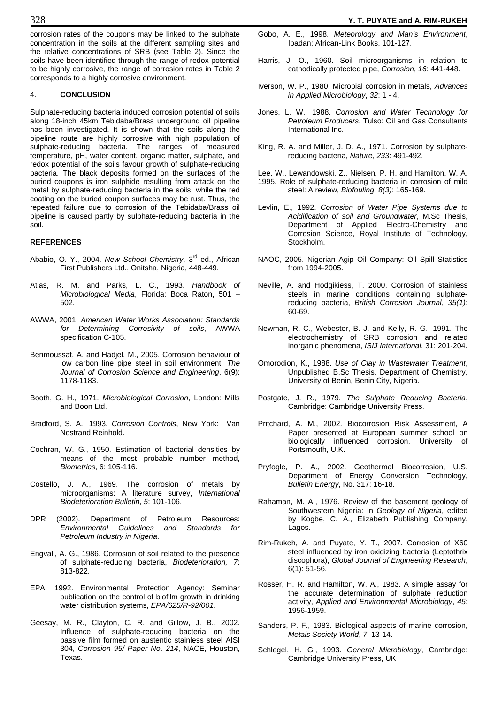corrosion rates of the coupons may be linked to the sulphate concentration in the soils at the different sampling sites and the relative concentrations of SRB (see Table 2). Since the soils have been identified through the range of redox potential to be highly corrosive, the range of corrosion rates in Table 2 corresponds to a highly corrosive environment.

#### 4. **CONCLUSION**

Sulphate-reducing bacteria induced corrosion potential of soils along 18-inch 45km Tebidaba/Brass underground oil pipeline has been investigated. It is shown that the soils along the pipeline route are highly corrosive with high population of sulphate-reducing bacteria. The ranges of measured temperature, pH, water content, organic matter, sulphate, and redox potential of the soils favour growth of sulphate-reducing bacteria. The black deposits formed on the surfaces of the buried coupons is iron sulphide resulting from attack on the metal by sulphate-reducing bacteria in the soils, while the red coating on the buried coupon surfaces may be rust. Thus, the repeated failure due to corrosion of the Tebidaba/Brass oil pipeline is caused partly by sulphate-reducing bacteria in the soil.

#### **REFERENCES**

- Ababio, O. Y., 2004. *New School Chemistry*, 3rd ed., African First Publishers Ltd., Onitsha, Nigeria, 448-449.
- Atlas, R. M. and Parks, L. C., 1993. *Handbook of Microbiological Media*, Florida: Boca Raton, 501 – 502.
- AWWA, 2001. *American Water Works Association: Standards for Determining Corrosivity of soils*, AWWA specification C-105.
- Benmoussat, A. and Hadjel, M., 2005. Corrosion behaviour of low carbon line pipe steel in soil environment, *The Journal of Corrosion Science and Engineering*, 6(9): 1178-1183.
- Booth, G. H., 1971. *Microbiological Corrosion*, London: Mills and Boon Ltd.
- Bradford, S. A., 1993. *Corrosion Controls*, New York: Van Nostrand Reinhold.
- Cochran, W. G., 1950. Estimation of bacterial densities by means of the most probable number method, *Biometrics*, 6: 105-116.
- Costello, J. A., 1969. The corrosion of metals by microorganisms: A literature survey, *International Biodeterioration Bulletin*, *5*: 101-106.
- DPR (2002). Department of Petroleum Resources: *Environmental Guidelines and Standards for Petroleum Industry in Nigeria*.
- Engvall, A. G., 1986. Corrosion of soil related to the presence of sulphate-reducing bacteria, *Biodeterioration, 7*: 813-822.
- EPA, 1992. Environmental Protection Agency: Seminar publication on the control of biofilm growth in drinking water distribution systems, *EPA/625/R-92/001*.
- Geesay, M. R., Clayton, C. R. and Gillow, J. B., 2002. Influence of sulphate-reducing bacteria on the passive film formed on austentic stainless steel AISI 304, *Corrosion 95/ Paper No*. *214*, NACE, Houston, Texas.
- Harris, J. O., 1960. Soil microorganisms in relation to cathodically protected pipe, *Corrosion*, *16*: 441-448.
- Iverson, W. P., 1980. Microbial corrosion in metals, *Advances in Applied Microbiology*, *32*: 1 - 4.
- Jones, L. W., 1988. *Corrosion and Water Technology for Petroleum Producers*, Tulso: Oil and Gas Consultants International Inc.
- King, R. A. and Miller, J. D. A., 1971. Corrosion by sulphate reducing bacteria, *Nature*, *233*: 491-492.
- Lee, W., Lewandowski, Z., Nielsen, P. H. and Hamilton, W. A. 1995. Role of sulphate-reducing bacteria in corrosion of mild steel: A review, *Biofouling*, *8(3)*: 165-169.
- Levlin, E., 1992. *Corrosion of Water Pipe Systems due to Acidification of soil and Groundwater*, M.Sc Thesis, Department of Applied Electro-Chemistry and Corrosion Science, Royal Institute of Technology, Stockholm.
- NAOC, 2005. Nigerian Agip Oil Company: Oil Spill Statistics from 1994-2005.
- Neville, A. and Hodgikiess, T. 2000. Corrosion of stainless steels in marine conditions containing sulphate reducing bacteria, *British Corrosion Journal*, *35(1)*: 60-69.
- Newman, R. C., Webester, B. J. and Kelly, R. G., 1991. The electrochemistry of SRB corrosion and related inorganic phenomena, *ISIJ International*, 31: 201-204.
- Omorodion, K., 1988. *Use of Clay in Wastewater Treatment*, Unpublished B.Sc Thesis, Department of Chemistry, University of Benin, Benin City, Nigeria.
- Postgate, J. R., 1979. *The Sulphate Reducing Bacteria*, Cambridge: Cambridge University Press.
- Pritchard, A. M., 2002. Biocorrosion Risk Assessment, A Paper presented at European summer school on biologically influenced corrosion, University of Portsmouth, U.K.
- Pryfogle, P. A., 2002. Geothermal Biocorrosion, U.S. Department of Energy Conversion Technology, *Bulletin Energy*, No. 317: 16-18.
- Rahaman, M. A., 1976. Review of the basement geology of Southwestern Nigeria: In *Geology of Nigeria*, edited by Kogbe, C. A., Elizabeth Publishing Company, Lagos.
- Rim-Rukeh, A. and Puyate, Y. T., 2007. Corrosion of X60 steel influenced by iron oxidizing bacteria (Leptothrix discophora), *Global Journal of Engineering Research*, 6(1): 51-56.
- Rosser, H. R. and Hamilton, W. A., 1983. A simple assay for the accurate determination of sulphate reduction activity, *Applied and Environmental Microbiology*, *45*: 1956-1959.
- Sanders, P. F., 1983. Biological aspects of marine corrosion, *Metals Society World*, *7*: 13-14.
- Schlegel, H. G., 1993. *General Microbiology*, Cambridge: Cambridge University Press, UK